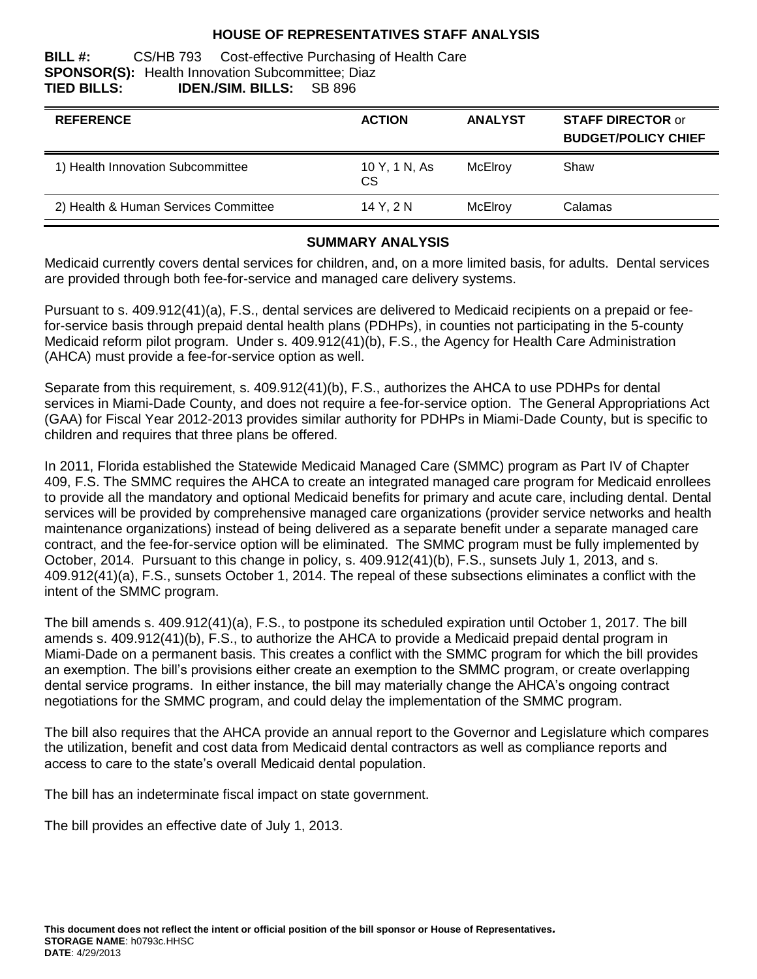### **HOUSE OF REPRESENTATIVES STAFF ANALYSIS**

#### **BILL #:** CS/HB 793 Cost-effective Purchasing of Health Care **SPONSOR(S):** Health Innovation Subcommittee; Diaz **TIED BILLS: IDEN./SIM. BILLS:** SB 896

| <b>REFERENCE</b>                     | <b>ACTION</b>       | <b>ANALYST</b> | <b>STAFF DIRECTOR or</b><br><b>BUDGET/POLICY CHIEF</b> |
|--------------------------------------|---------------------|----------------|--------------------------------------------------------|
| 1) Health Innovation Subcommittee    | 10 Y, 1 N, As<br>СS | McElroy        | Shaw                                                   |
| 2) Health & Human Services Committee | 14 Y. 2 N           | McElroy        | Calamas                                                |

### **SUMMARY ANALYSIS**

Medicaid currently covers dental services for children, and, on a more limited basis, for adults. Dental services are provided through both fee-for-service and managed care delivery systems.

Pursuant to s. 409.912(41)(a), F.S., dental services are delivered to Medicaid recipients on a prepaid or feefor-service basis through prepaid dental health plans (PDHPs), in counties not participating in the 5-county Medicaid reform pilot program. Under s. 409.912(41)(b), F.S., the Agency for Health Care Administration (AHCA) must provide a fee-for-service option as well.

Separate from this requirement, s. 409.912(41)(b), F.S., authorizes the AHCA to use PDHPs for dental services in Miami-Dade County, and does not require a fee-for-service option. The General Appropriations Act (GAA) for Fiscal Year 2012-2013 provides similar authority for PDHPs in Miami-Dade County, but is specific to children and requires that three plans be offered.

In 2011, Florida established the Statewide Medicaid Managed Care (SMMC) program as Part IV of Chapter 409, F.S. The SMMC requires the AHCA to create an integrated managed care program for Medicaid enrollees to provide all the mandatory and optional Medicaid benefits for primary and acute care, including dental. Dental services will be provided by comprehensive managed care organizations (provider service networks and health maintenance organizations) instead of being delivered as a separate benefit under a separate managed care contract, and the fee-for-service option will be eliminated. The SMMC program must be fully implemented by October, 2014. Pursuant to this change in policy, s. 409.912(41)(b), F.S., sunsets July 1, 2013, and s. 409.912(41)(a), F.S., sunsets October 1, 2014. The repeal of these subsections eliminates a conflict with the intent of the SMMC program.

The bill amends s. 409.912(41)(a), F.S., to postpone its scheduled expiration until October 1, 2017. The bill amends s. 409.912(41)(b), F.S., to authorize the AHCA to provide a Medicaid prepaid dental program in Miami-Dade on a permanent basis. This creates a conflict with the SMMC program for which the bill provides an exemption. The bill's provisions either create an exemption to the SMMC program, or create overlapping dental service programs. In either instance, the bill may materially change the AHCA's ongoing contract negotiations for the SMMC program, and could delay the implementation of the SMMC program.

The bill also requires that the AHCA provide an annual report to the Governor and Legislature which compares the utilization, benefit and cost data from Medicaid dental contractors as well as compliance reports and access to care to the state's overall Medicaid dental population.

The bill has an indeterminate fiscal impact on state government.

The bill provides an effective date of July 1, 2013.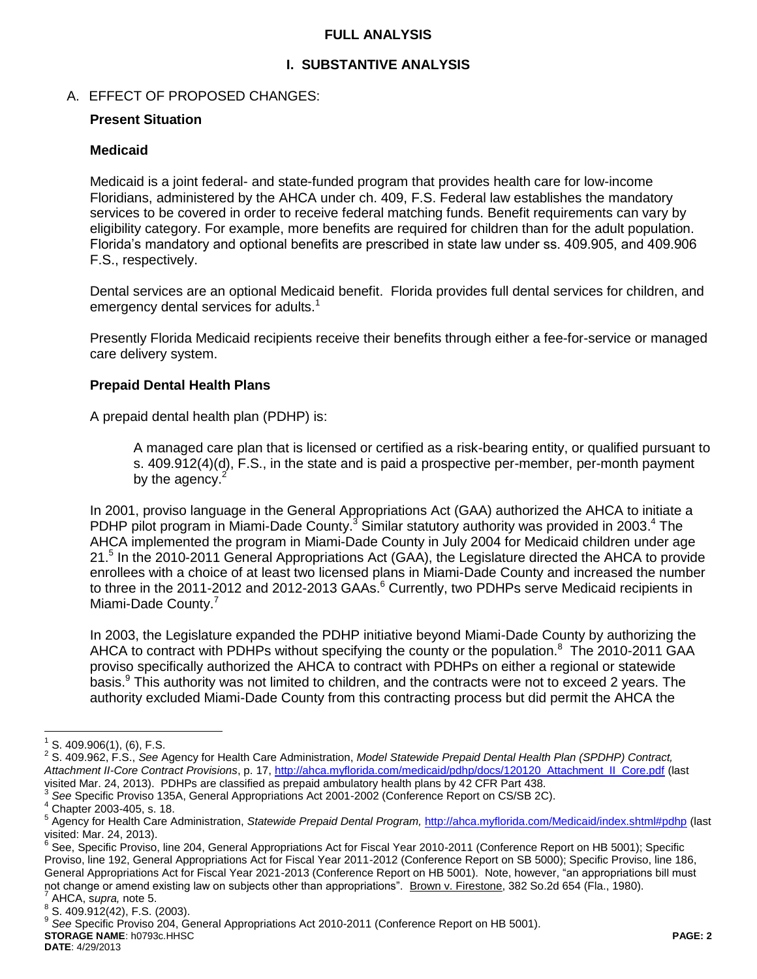### **FULL ANALYSIS**

### **I. SUBSTANTIVE ANALYSIS**

### A. EFFECT OF PROPOSED CHANGES:

#### **Present Situation**

#### **Medicaid**

Medicaid is a joint federal- and state-funded program that provides health care for low-income Floridians, administered by the AHCA under ch. 409, F.S. Federal law establishes the mandatory services to be covered in order to receive federal matching funds. Benefit requirements can vary by eligibility category. For example, more benefits are required for children than for the adult population. Florida's mandatory and optional benefits are prescribed in state law under ss. 409.905, and 409.906 F.S., respectively.

Dental services are an optional Medicaid benefit. Florida provides full dental services for children, and emergency dental services for adults.<sup>1</sup>

Presently Florida Medicaid recipients receive their benefits through either a fee-for-service or managed care delivery system.

#### **Prepaid Dental Health Plans**

A prepaid dental health plan (PDHP) is:

A managed care plan that is licensed or certified as a risk-bearing entity, or qualified pursuant to s. 409.912(4)(d), F.S., in the state and is paid a prospective per-member, per-month payment by the agency.<sup>2</sup>

In 2001, proviso language in the General Appropriations Act (GAA) authorized the AHCA to initiate a PDHP pilot program in Miami-Dade County.<sup>3</sup> Similar statutory authority was provided in 2003.<sup>4</sup> The AHCA implemented the program in Miami-Dade County in July 2004 for Medicaid children under age 21.<sup>5</sup> In the 2010-2011 General Appropriations Act (GAA), the Legislature directed the AHCA to provide enrollees with a choice of at least two licensed plans in Miami-Dade County and increased the number to three in the 2011-2012 and 2012-2013 GAAs.<sup>6</sup> Currently, two PDHPs serve Medicaid recipients in Miami-Dade County.<sup>7</sup>

In 2003, the Legislature expanded the PDHP initiative beyond Miami-Dade County by authorizing the AHCA to contract with PDHPs without specifying the county or the population.<sup>8</sup> The 2010-2011 GAA proviso specifically authorized the AHCA to contract with PDHPs on either a regional or statewide basis.<sup>9</sup> This authority was not limited to children, and the contracts were not to exceed 2 years. The authority excluded Miami-Dade County from this contracting process but did permit the AHCA the

 $\overline{a}$ 

**DATE**: 4/29/2013

 $1$  S. 409.906(1), (6), F.S.

<sup>2</sup> S. 409.962, F.S., *See* Agency for Health Care Administration, *Model Statewide Prepaid Dental Health Plan (SPDHP) Contract, Attachment II-Core Contract Provisions*, p. 17, [http://ahca.myflorida.com/medicaid/pdhp/docs/120120\\_Attachment\\_II\\_Core.pdf](http://ahca.myflorida.com/medicaid/pdhp/docs/120120_Attachment_II_Core.pdf) (last visited Mar. 24, 2013). PDHPs are classified as prepaid ambulatory health plans by 42 CFR Part 438.

<sup>3</sup> *See* Specific Proviso 135A, General Appropriations Act 2001-2002 (Conference Report on CS/SB 2C).

<sup>4</sup> Chapter 2003-405, s. 18.

<sup>&</sup>lt;sup>5</sup> Agency for Health Care Administration, *Statewide Prepaid Dental Program,* [http://ahca.myflorida.com/Medicaid/index.shtml#pdhp](http://ahca.myflorida.com/Medicaid/index.shtml%23pdhp) (last visited: Mar. 24, 2013).

<sup>&</sup>lt;sup>6</sup> See, Specific Proviso, line 204, General Appropriations Act for Fiscal Year 2010-2011 (Conference Report on HB 5001); Specific Proviso, line 192, General Appropriations Act for Fiscal Year 2011-2012 (Conference Report on SB 5000); Specific Proviso, line 186, General Appropriations Act for Fiscal Year 2021-2013 (Conference Report on HB 5001). Note, however, "an appropriations bill must not change or amend existing law on subjects other than appropriations". <u>Brown v. Firestone</u>, 382 So.2d 654 (Fla., 1980).<br><sup>7</sup> AHCA .aunra, pote 5 AHCA, s*upra,* note 5.

 $^8$  S. 409.912(42), F.S. (2003).

**STORAGE NAME**: h0793c.HHSC **PAGE: 2** 9 *See* Specific Proviso 204, General Appropriations Act 2010-2011 (Conference Report on HB 5001).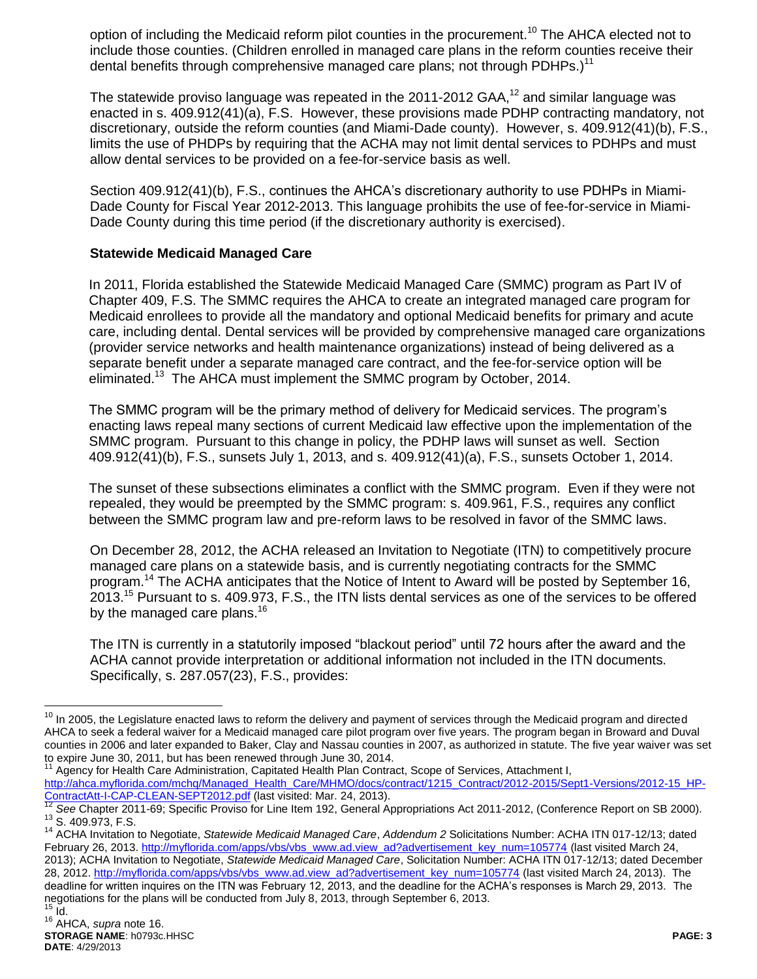option of including the Medicaid reform pilot counties in the procurement.<sup>10</sup> The AHCA elected not to include those counties. (Children enrolled in managed care plans in the reform counties receive their dental benefits through comprehensive managed care plans; not through PDHPs.)<sup>11</sup>

The statewide proviso language was repeated in the 2011-2012 GAA, $^{12}$  and similar language was enacted in s. 409.912(41)(a), F.S. However, these provisions made PDHP contracting mandatory, not discretionary, outside the reform counties (and Miami-Dade county). However, s. 409.912(41)(b), F.S., limits the use of PHDPs by requiring that the ACHA may not limit dental services to PDHPs and must allow dental services to be provided on a fee-for-service basis as well.

Section 409.912(41)(b), F.S., continues the AHCA's discretionary authority to use PDHPs in Miami-Dade County for Fiscal Year 2012-2013. This language prohibits the use of fee-for-service in Miami-Dade County during this time period (if the discretionary authority is exercised).

### **Statewide Medicaid Managed Care**

In 2011, Florida established the Statewide Medicaid Managed Care (SMMC) program as Part IV of Chapter 409, F.S. The SMMC requires the AHCA to create an integrated managed care program for Medicaid enrollees to provide all the mandatory and optional Medicaid benefits for primary and acute care, including dental. Dental services will be provided by comprehensive managed care organizations (provider service networks and health maintenance organizations) instead of being delivered as a separate benefit under a separate managed care contract, and the fee-for-service option will be eliminated.<sup>13</sup> The AHCA must implement the SMMC program by October, 2014.

The SMMC program will be the primary method of delivery for Medicaid services. The program's enacting laws repeal many sections of current Medicaid law effective upon the implementation of the SMMC program. Pursuant to this change in policy, the PDHP laws will sunset as well. Section 409.912(41)(b), F.S., sunsets July 1, 2013, and s. 409.912(41)(a), F.S., sunsets October 1, 2014.

The sunset of these subsections eliminates a conflict with the SMMC program. Even if they were not repealed, they would be preempted by the SMMC program: s. 409.961, F.S., requires any conflict between the SMMC program law and pre-reform laws to be resolved in favor of the SMMC laws.

On December 28, 2012, the ACHA released an Invitation to Negotiate (ITN) to competitively procure managed care plans on a statewide basis, and is currently negotiating contracts for the SMMC program.<sup>14</sup> The ACHA anticipates that the Notice of Intent to Award will be posted by September 16, 2013.<sup>15</sup> Pursuant to s. 409.973, F.S., the ITN lists dental services as one of the services to be offered by the managed care plans.<sup>16</sup>

The ITN is currently in a statutorily imposed "blackout period" until 72 hours after the award and the ACHA cannot provide interpretation or additional information not included in the ITN documents. Specifically, s. 287.057(23), F.S., provides:

 $\overline{a}$ 

<sup>&</sup>lt;sup>10</sup> In 2005, the Legislature enacted laws to reform the delivery and payment of services through the Medicaid program and directed AHCA to seek a federal waiver for a Medicaid managed care pilot program over five years. The program began in Broward and Duval counties in 2006 and later expanded to Baker, Clay and Nassau counties in 2007, as authorized in statute. The five year waiver was set to expire June 30, 2011, but has been renewed through June 30, 2014.

Agency for Health Care Administration, Capitated Health Plan Contract, Scope of Services, Attachment I, [http://ahca.myflorida.com/mchq/Managed\\_Health\\_Care/MHMO/docs/contract/1215\\_Contract/2012-2015/Sept1-Versions/2012-15\\_HP-](http://ahca.myflorida.com/mchq/Managed_Health_Care/MHMO/docs/contract/1215_Contract/2012-2015/Sept1-Versions/2012-15_HP-ContractAtt-I-CAP-CLEAN-SEPT2012.pdf)[ContractAtt-I-CAP-CLEAN-SEPT2012.pdf](http://ahca.myflorida.com/mchq/Managed_Health_Care/MHMO/docs/contract/1215_Contract/2012-2015/Sept1-Versions/2012-15_HP-ContractAtt-I-CAP-CLEAN-SEPT2012.pdf) (last visited: Mar. 24, 2013).

<sup>&</sup>lt;sup>12</sup> See Chapter 2011-69; Specific Proviso for Line Item 192, General Appropriations Act 2011-2012, (Conference Report on SB 2000). <sup>13</sup> S. 409.973, F.S.

<sup>14</sup> ACHA Invitation to Negotiate, *Statewide Medicaid Managed Care*, *Addendum 2* Solicitations Number: ACHA ITN 017-12/13; dated February 26, 2013[. http://myflorida.com/apps/vbs/vbs\\_www.ad.view\\_ad?advertisement\\_key\\_num=105774](http://myflorida.com/apps/vbs/vbs_www.ad.view_ad?advertisement_key_num=105774) (last visited March 24, 2013); ACHA Invitation to Negotiate, *Statewide Medicaid Managed Care*, Solicitation Number: ACHA ITN 017-12/13; dated December 28, 2012. [http://myflorida.com/apps/vbs/vbs\\_www.ad.view\\_ad?advertisement\\_key\\_num=105774](http://myflorida.com/apps/vbs/vbs_www.ad.view_ad?advertisement_key_num=105774) (last visited March 24, 2013). The deadline for written inquires on the ITN was February 12, 2013, and the deadline for the ACHA's responses is March 29, 2013. The negotiations for the plans will be conducted from July 8, 2013, through September 6, 2013.  $15$  Id.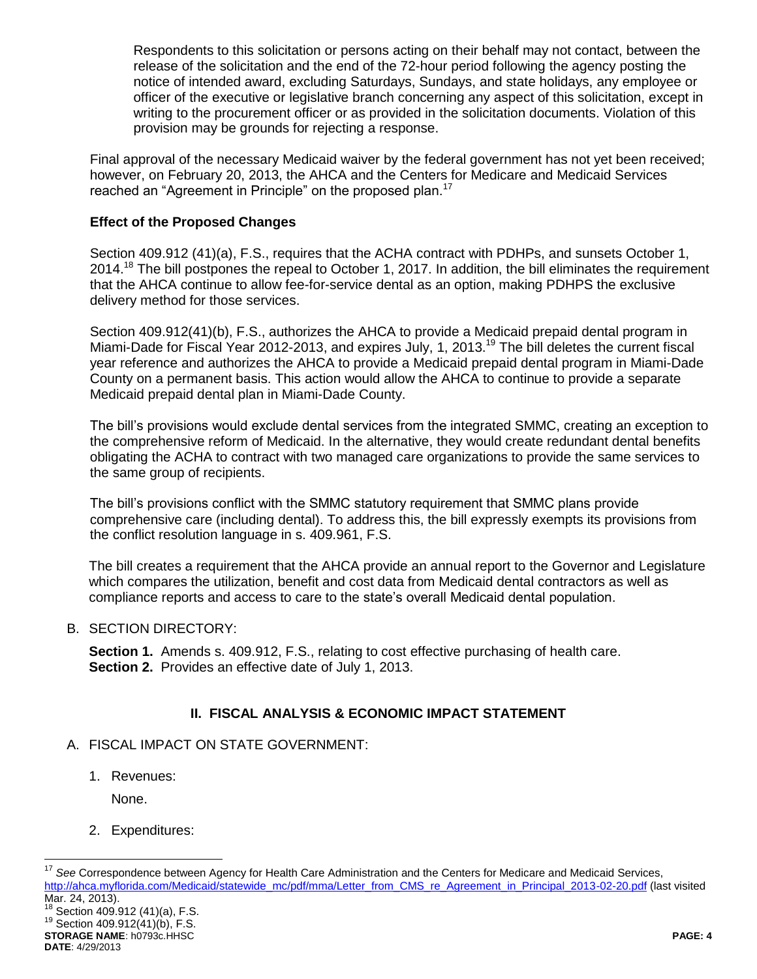Respondents to this solicitation or persons acting on their behalf may not contact, between the release of the solicitation and the end of the 72-hour period following the agency posting the notice of intended award, excluding Saturdays, Sundays, and state holidays, any employee or officer of the executive or legislative branch concerning any aspect of this solicitation, except in writing to the procurement officer or as provided in the solicitation documents. Violation of this provision may be grounds for rejecting a response.

Final approval of the necessary Medicaid waiver by the federal government has not yet been received; however, on February 20, 2013, the AHCA and the Centers for Medicare and Medicaid Services reached an "Agreement in Principle" on the proposed plan.<sup>17</sup>

### **Effect of the Proposed Changes**

Section 409.912 (41)(a), F.S., requires that the ACHA contract with PDHPs, and sunsets October 1, 2014.<sup>18</sup> The bill postpones the repeal to October 1, 2017. In addition, the bill eliminates the requirement that the AHCA continue to allow fee-for-service dental as an option, making PDHPS the exclusive delivery method for those services.

Section 409.912(41)(b), F.S., authorizes the AHCA to provide a Medicaid prepaid dental program in Miami-Dade for Fiscal Year 2012-2013, and expires July, 1, 2013.<sup>19</sup> The bill deletes the current fiscal year reference and authorizes the AHCA to provide a Medicaid prepaid dental program in Miami-Dade County on a permanent basis. This action would allow the AHCA to continue to provide a separate Medicaid prepaid dental plan in Miami-Dade County.

The bill's provisions would exclude dental services from the integrated SMMC, creating an exception to the comprehensive reform of Medicaid. In the alternative, they would create redundant dental benefits obligating the ACHA to contract with two managed care organizations to provide the same services to the same group of recipients.

The bill's provisions conflict with the SMMC statutory requirement that SMMC plans provide comprehensive care (including dental). To address this, the bill expressly exempts its provisions from the conflict resolution language in s. 409.961, F.S.

The bill creates a requirement that the AHCA provide an annual report to the Governor and Legislature which compares the utilization, benefit and cost data from Medicaid dental contractors as well as compliance reports and access to care to the state's overall Medicaid dental population.

### B. SECTION DIRECTORY:

**Section 1.** Amends s. 409.912, F.S., relating to cost effective purchasing of health care. **Section 2.** Provides an effective date of July 1, 2013.

## **II. FISCAL ANALYSIS & ECONOMIC IMPACT STATEMENT**

## A. FISCAL IMPACT ON STATE GOVERNMENT:

1. Revenues:

None.

## 2. Expenditures:

**STORAGE NAME**: h0793c.HHSC **PAGE: 4**  $^{18}$  Section 409.912 (41)(a), F.S. <sup>19</sup> Section 409.912(41)(b), F.S.

 $17$ <sup>17</sup> *See* Correspondence between Agency for Health Care Administration and the Centers for Medicare and Medicaid Services, [http://ahca.myflorida.com/Medicaid/statewide\\_mc/pdf/mma/Letter\\_from\\_CMS\\_re\\_Agreement\\_in\\_Principal\\_2013-02-20.pdf](http://ahca.myflorida.com/Medicaid/statewide_mc/pdf/mma/Letter_from_CMS_re_Agreement_in_Principal_2013-02-20.pdf) (last visited Mar. 24, 2013).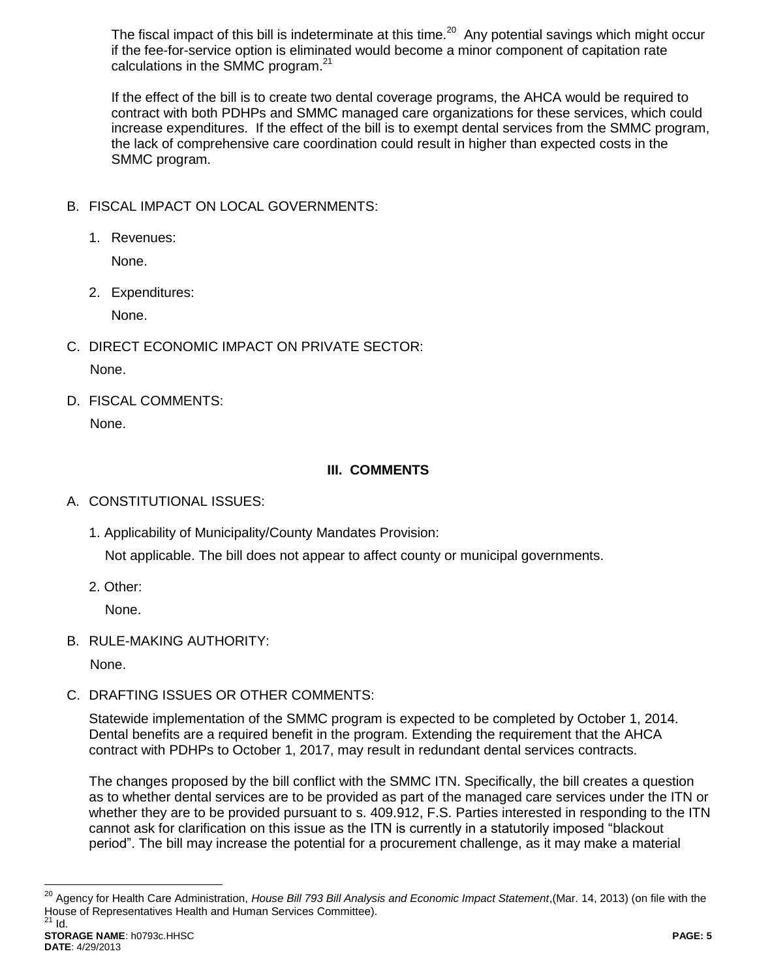The fiscal impact of this bill is indeterminate at this time.<sup>20</sup> Any potential savings which might occur if the fee-for-service option is eliminated would become a minor component of capitation rate calculations in the SMMC program. $21$ 

If the effect of the bill is to create two dental coverage programs, the AHCA would be required to contract with both PDHPs and SMMC managed care organizations for these services, which could increase expenditures. If the effect of the bill is to exempt dental services from the SMMC program, the lack of comprehensive care coordination could result in higher than expected costs in the SMMC program.

- B. FISCAL IMPACT ON LOCAL GOVERNMENTS:
	- 1. Revenues:

None.

2. Expenditures:

None.

- C. DIRECT ECONOMIC IMPACT ON PRIVATE SECTOR: None.
- D. FISCAL COMMENTS: None.

# **III. COMMENTS**

- A. CONSTITUTIONAL ISSUES:
	- 1. Applicability of Municipality/County Mandates Provision: Not applicable. The bill does not appear to affect county or municipal governments.
	- 2. Other:

None.

B. RULE-MAKING AUTHORITY:

None.

C. DRAFTING ISSUES OR OTHER COMMENTS:

Statewide implementation of the SMMC program is expected to be completed by October 1, 2014. Dental benefits are a required benefit in the program. Extending the requirement that the AHCA contract with PDHPs to October 1, 2017, may result in redundant dental services contracts.

The changes proposed by the bill conflict with the SMMC ITN. Specifically, the bill creates a question as to whether dental services are to be provided as part of the managed care services under the ITN or whether they are to be provided pursuant to s. 409.912, F.S. Parties interested in responding to the ITN cannot ask for clarification on this issue as the ITN is currently in a statutorily imposed "blackout period". The bill may increase the potential for a procurement challenge, as it may make a material

 $\overline{a}$ 

<sup>&</sup>lt;sup>20</sup> Agency for Health Care Administration, *House Bill 793 Bill Analysis and Economic Impact Statement*,(Mar. 14, 2013) (on file with the House of Representatives Health and Human Services Committee).  $^{21}$  Id.